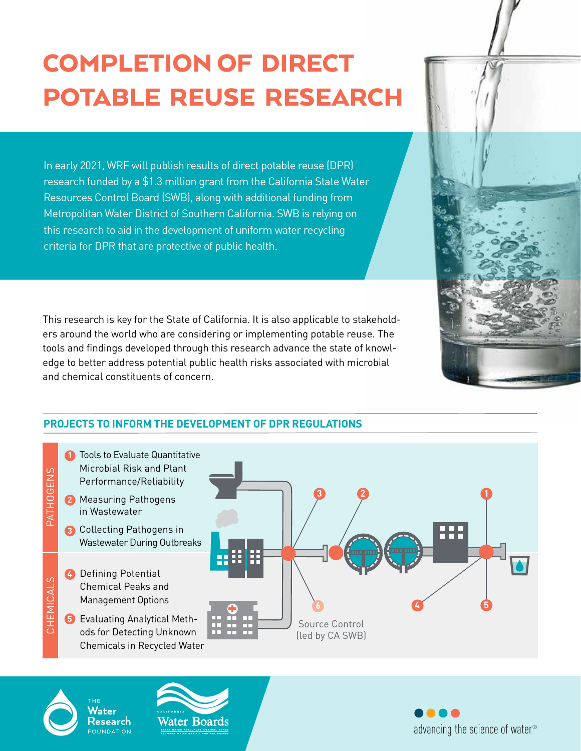# COMPLETION OF DIRECT POTABLE REUSE RESEARCH

In early 2021, WRF will publish results of direct potable reuse (DPR) research funded by a \$1.3 million grant from the California State Water Resources Control Board (SWB), along with additional funding from Metropolitan Water District of Southern California. SWB is relying on this research to aid in the development of uniform water recycling criteria for DPR that are protective of public health.

This research is key for the State of California. It is also applicable to stakeholders around the world who are considering or implementing potable reuse. The tools and findings developed through this research advance the state of knowledge to better address potential public health risks associated with microbial and chemical constituents of concern.



# **PROJECTS TO INFORM THE DEVELOPMENT OF DPR REGULATIONS**



Water

Research

**NDATION** 



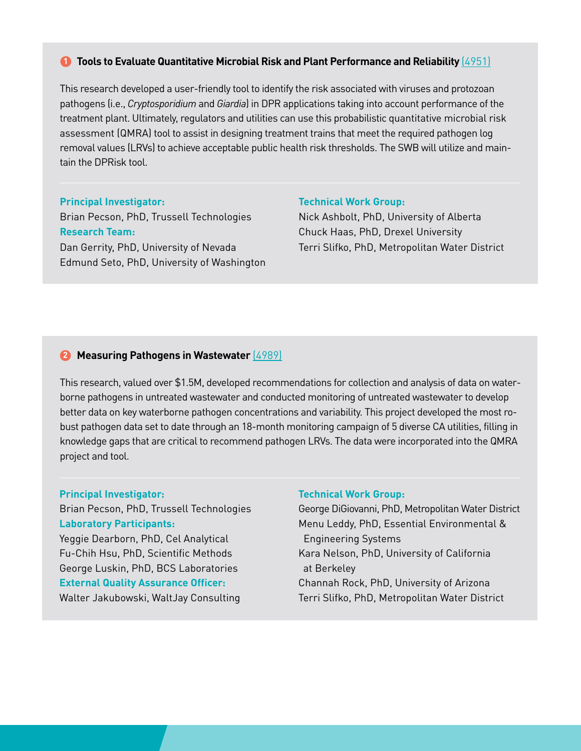# **D** Tools to Evaluate Quantitative Microbial Risk and Plant Performance and Reliability (4951)

This research developed a user-friendly tool to identify the risk associated with viruses and protozoan pathogens (i.e., *Cryptosporidium* and *Giardia*) in DPR applications taking into account performance of the treatment plant. Ultimately, regulators and utilities can use this probabilistic quantitative microbial risk assessment (QMRA) tool to assist in designing treatment trains that meet the required pathogen log removal values (LRVs) to achieve acceptable public health risk thresholds. The SWB will utilize and maintain the DPRisk tool.

**Principal Investigator:**  Brian Pecson, PhD, Trussell Technologies **Research Team:**  Dan Gerrity, PhD, University of Nevada Edmund Seto, PhD, University of Washington

#### **Technical Work Group:**

Nick Ashbolt, PhD, University of Alberta Chuck Haas, PhD, Drexel University Terri Slifko, PhD, Metropolitan Water District

# **2** Measuring Pathogens in Wastewater (4989)

This research, valued over \$1.5M, developed recommendations for collection and analysis of data on waterborne pathogens in untreated wastewater and conducted monitoring of untreated wastewater to develop better data on key waterborne pathogen concentrations and variability. This project developed the most robust pathogen data set to date through an 18-month monitoring campaign of 5 diverse CA utilities, filling in knowledge gaps that are critical to recommend pathogen LRVs. The data were incorporated into the QMRA project and tool.

#### **Principal Investigator:**

Brian Pecson, PhD, Trussell Technologies **Laboratory Participants:** Yeggie Dearborn, PhD, Cel Analytical Fu-Chih Hsu, PhD, Scientific Methods George Luskin, PhD, BCS Laboratories **External Quality Assurance Officer:** 

# Walter Jakubowski, WaltJay Consulting

#### **Technical Work Group:**

George DiGiovanni, PhD, Metropolitan Water District Menu Leddy, PhD, Essential Environmental & Engineering Systems Kara Nelson, PhD, University of California at Berkeley Channah Rock, PhD, University of Arizona Terri Slifko, PhD, Metropolitan Water District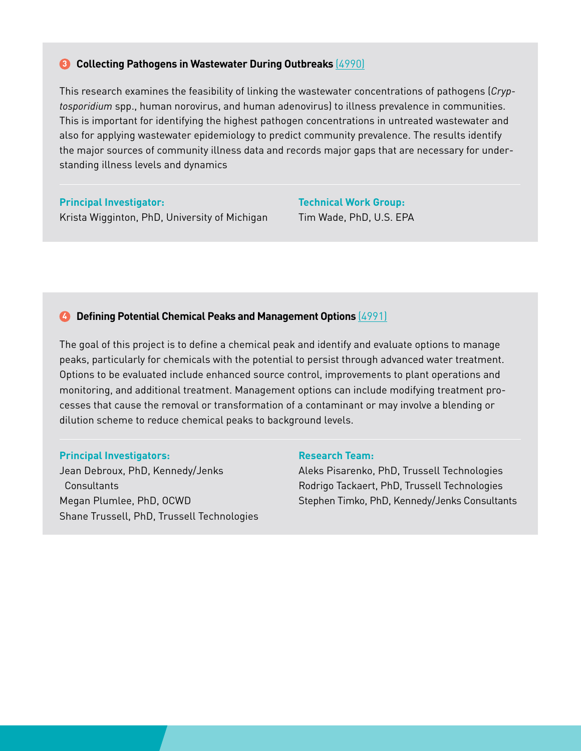## **8** Collecting Pathogens in Wastewater During Outbreaks (4990)

This research examines the feasibility of linking the wastewater concentrations of pathogens (*Cryptosporidium* spp., human norovirus, and human adenovirus) to illness prevalence in communities. This is important for identifying the highest pathogen concentrations in untreated wastewater and also for applying wastewater epidemiology to predict community prevalence. The results identify the major sources of community illness data and records major gaps that are necessary for understanding illness levels and dynamics

**Principal Investigator:**  Krista Wigginton, PhD, University of Michigan **Technical Work Group:**  Tim Wade, PhD, U.S. EPA

# **4** Defining Potential Chemical Peaks and Management Options (4991)

The goal of this project is to define a chemical peak and identify and evaluate options to manage peaks, particularly for chemicals with the potential to persist through advanced water treatment. Options to be evaluated include enhanced source control, improvements to plant operations and monitoring, and additional treatment. Management options can include modifying treatment processes that cause the removal or transformation of a contaminant or may involve a blending or dilution scheme to reduce chemical peaks to background levels.

#### **Principal Investigators:**

Jean Debroux, PhD, Kennedy/Jenks **Consultants** Megan Plumlee, PhD, OCWD Shane Trussell, PhD, Trussell Technologies

## **Research Team:**

Aleks Pisarenko, PhD, Trussell Technologies Rodrigo Tackaert, PhD, Trussell Technologies Stephen Timko, PhD, Kennedy/Jenks Consultants